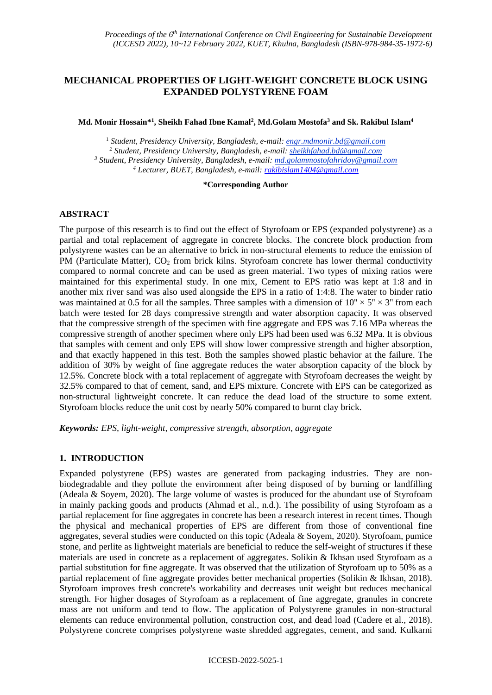# **MECHANICAL PROPERTIES OF LIGHT-WEIGHT CONCRETE BLOCK USING EXPANDED POLYSTYRENE FOAM**

### **Md. Monir Hossain\* 1 , Sheikh Fahad Ibne Kamal<sup>2</sup> , Md.Golam Mostofa<sup>3</sup> and Sk. Rakibul Islam<sup>4</sup>**

 *Student, Presidency University, Bangladesh, e-mail: engr.mdmonir.bd@gmail.com Student, Presidency University, Bangladesh, e-mail: sheikhfahad.bd@gmail.com Student, Presidency University, Bangladesh, e-mail: md.golammostofahridoy@gmail.com Lecturer, BUET, Bangladesh, e-mail: rakibislam1404@gmail.com*

#### **\*Corresponding Author**

## **ABSTRACT**

The purpose of this research is to find out the effect of Styrofoam or EPS (expanded polystyrene) as a partial and total replacement of aggregate in concrete blocks. The concrete block production from polystyrene wastes can be an alternative to brick in non-structural elements to reduce the emission of PM (Particulate Matter),  $CO<sub>2</sub>$  from brick kilns. Styrofoam concrete has lower thermal conductivity compared to normal concrete and can be used as green material. Two types of mixing ratios were maintained for this experimental study. In one mix, Cement to EPS ratio was kept at 1:8 and in another mix river sand was also used alongside the EPS in a ratio of 1:4:8. The water to binder ratio was maintained at 0.5 for all the samples. Three samples with a dimension of  $10'' \times 5'' \times 3''$  from each batch were tested for 28 days compressive strength and water absorption capacity. It was observed that the compressive strength of the specimen with fine aggregate and EPS was 7.16 MPa whereas the compressive strength of another specimen where only EPS had been used was 6.32 MPa. It is obvious that samples with cement and only EPS will show lower compressive strength and higher absorption, and that exactly happened in this test. Both the samples showed plastic behavior at the failure. The addition of 30% by weight of fine aggregate reduces the water absorption capacity of the block by 12.5%. Concrete block with a total replacement of aggregate with Styrofoam decreases the weight by 32.5% compared to that of cement, sand, and EPS mixture. Concrete with EPS can be categorized as non-structural lightweight concrete. It can reduce the dead load of the structure to some extent. Styrofoam blocks reduce the unit cost by nearly 50% compared to burnt clay brick.

*Keywords: EPS, light-weight, compressive strength, absorption, aggregate*

### **1. INTRODUCTION**

Expanded polystyrene (EPS) wastes are generated from packaging industries. They are nonbiodegradable and they pollute the environment after being disposed of by burning or landfilling (Adeala & Soyem, 2020). The large volume of wastes is produced for the abundant use of Styrofoam in mainly packing goods and products (Ahmad et al., n.d.). The possibility of using Styrofoam as a partial replacement for fine aggregates in concrete has been a research interest in recent times. Though the physical and mechanical properties of EPS are different from those of conventional fine aggregates, several studies were conducted on this topic (Adeala & Soyem, 2020). Styrofoam, pumice stone, and perlite as lightweight materials are beneficial to reduce the self-weight of structures if these materials are used in concrete as a replacement of aggregates. Solikin & Ikhsan used Styrofoam as a partial substitution for fine aggregate. It was observed that the utilization of Styrofoam up to 50% as a partial replacement of fine aggregate provides better mechanical properties (Solikin & Ikhsan, 2018). Styrofoam improves fresh concrete's workability and decreases unit weight but reduces mechanical strength. For higher dosages of Styrofoam as a replacement of fine aggregate, granules in concrete mass are not uniform and tend to flow. The application of Polystyrene granules in non-structural elements can reduce environmental pollution, construction cost, and dead load (Cadere et al., 2018). Polystyrene concrete comprises polystyrene waste shredded aggregates, cement, and sand. Kulkarni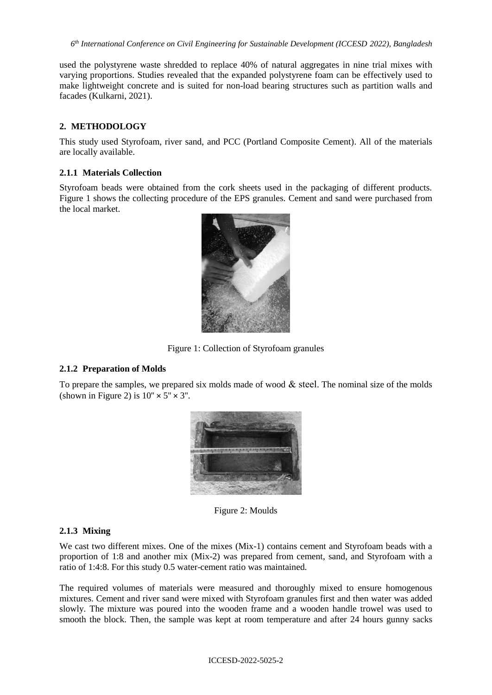used the polystyrene waste shredded to replace 40% of natural aggregates in nine trial mixes with varying proportions. Studies revealed that the expanded polystyrene foam can be effectively used to make lightweight concrete and is suited for non-load bearing structures such as partition walls and facades (Kulkarni, 2021).

## **2. METHODOLOGY**

This study used Styrofoam, river sand, and PCC (Portland Composite Cement). All of the materials are locally available.

## **2.1.1 Materials Collection**

Styrofoam beads were obtained from the cork sheets used in the packaging of different products. Figure 1 shows the collecting procedure of the EPS granules. Cement and sand were purchased from the local market.



Figure 1: Collection of Styrofoam granules

## **2.1.2 Preparation of Molds**

To prepare the samples, we prepared six molds made of wood  $\&$  steel. The nominal size of the molds (shown in Figure 2) is  $10'' \times 5'' \times 3''$ .



Figure 2: Moulds

### **2.1.3 Mixing**

We cast two different mixes. One of the mixes (Mix-1) contains cement and Styrofoam beads with a proportion of 1:8 and another mix (Mix-2) was prepared from cement, sand, and Styrofoam with a ratio of 1:4:8. For this study 0.5 water-cement ratio was maintained.

The required volumes of materials were measured and thoroughly mixed to ensure homogenous mixtures. Cement and river sand were mixed with Styrofoam granules first and then water was added slowly. The mixture was poured into the wooden frame and a wooden handle trowel was used to smooth the block. Then, the sample was kept at room temperature and after 24 hours gunny sacks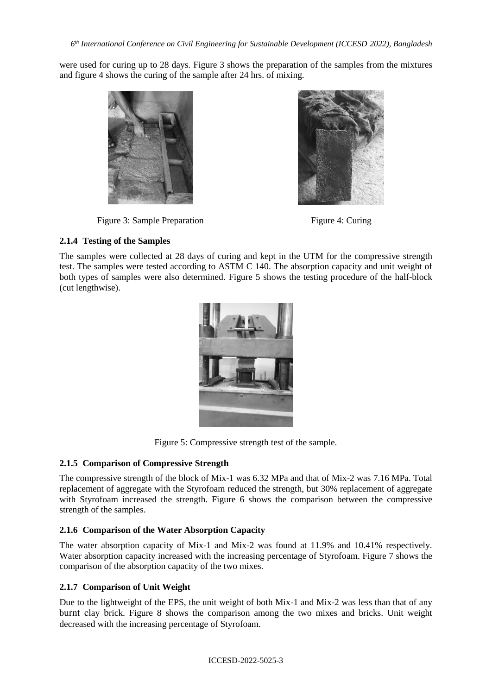were used for curing up to 28 days. Figure 3 shows the preparation of the samples from the mixtures and figure 4 shows the curing of the sample after 24 hrs. of mixing.



## Figure 3: Sample Preparation Figure 4: Curing

## **2.1.4 Testing of the Samples**

The samples were collected at 28 days of curing and kept in the UTM for the compressive strength test. The samples were tested according to ASTM C 140. The absorption capacity and unit weight of both types of samples were also determined. Figure 5 shows the testing procedure of the half-block (cut lengthwise).



Figure 5: Compressive strength test of the sample.

## **2.1.5 Comparison of Compressive Strength**

The compressive strength of the block of Mix-1 was 6.32 MPa and that of Mix-2 was 7.16 MPa. Total replacement of aggregate with the Styrofoam reduced the strength, but 30% replacement of aggregate with Styrofoam increased the strength. Figure 6 shows the comparison between the compressive strength of the samples.

## **2.1.6 Comparison of the Water Absorption Capacity**

The water absorption capacity of Mix-1 and Mix-2 was found at 11.9% and 10.41% respectively. Water absorption capacity increased with the increasing percentage of Styrofoam. Figure 7 shows the comparison of the absorption capacity of the two mixes.

# **2.1.7 Comparison of Unit Weight**

Due to the lightweight of the EPS, the unit weight of both Mix-1 and Mix-2 was less than that of any burnt clay brick. Figure 8 shows the comparison among the two mixes and bricks. Unit weight decreased with the increasing percentage of Styrofoam.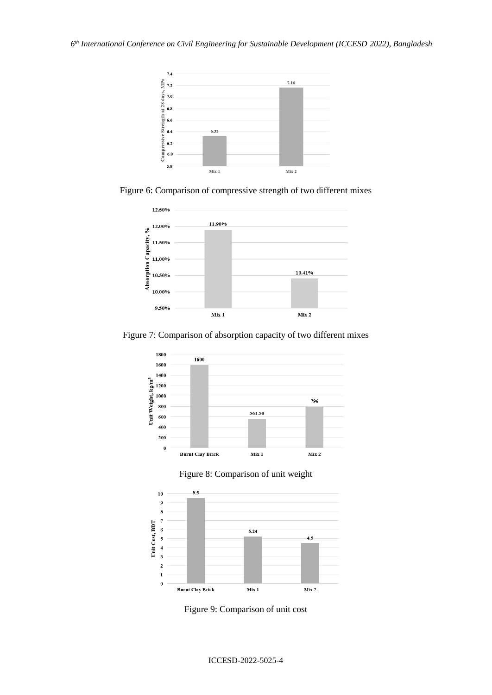*6 th International Conference on Civil Engineering for Sustainable Development (ICCESD 2022), Bangladesh*



Figure 6: Comparison of compressive strength of two different mixes



Figure 7: Comparison of absorption capacity of two different mixes







Figure 9: Comparison of unit cost